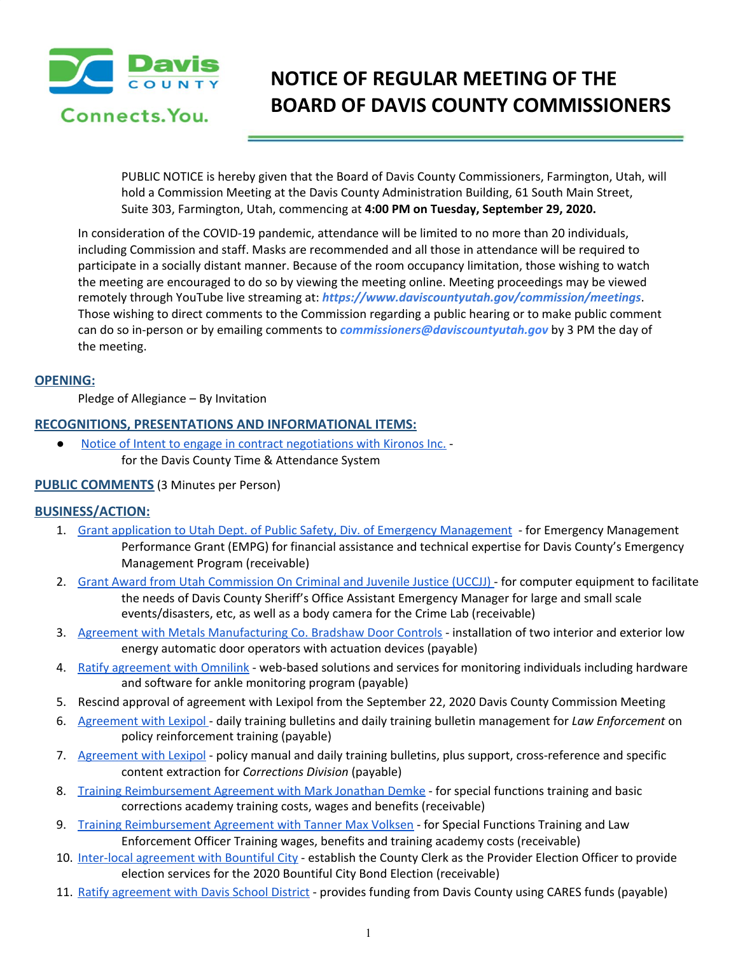

# **NOTICE OF REGULAR MEETING OF THE BOARD OF DAVIS COUNTY COMMISSIONERS**

PUBLIC NOTICE is hereby given that the Board of Davis County Commissioners, Farmington, Utah, will hold a Commission Meeting at the Davis County Administration Building, 61 South Main Street, Suite 303, Farmington, Utah, commencing at **4:00 PM on Tuesday, September 29, 2020.**

In consideration of the COVID-19 pandemic, attendance will be limited to no more than 20 individuals, including Commission and staff. Masks are recommended and all those in attendance will be required to participate in a socially distant manner. Because of the room occupancy limitation, those wishing to watch the meeting are encouraged to do so by viewing the meeting online. Meeting proceedings may be viewed remotely through YouTube live streaming at: *https://www.daviscountyutah.gov/commission/meetings*. Those wishing to direct comments to the Commission regarding a public hearing or to make public comment can do so in-person or by emailing comments to *commissioners@daviscountyutah.gov* by 3 PM the day of the meeting.

# **OPENING:**

Pledge of Allegiance – By Invitation

# **RECOGNITIONS, PRESENTATIONS AND INFORMATIONAL ITEMS:**

Notice of Intent to engage in contract [negotiations](https://drive.google.com/file/d/1xdZyL6jKE_9v5A_jBgZ9vBRg-PvwpPIR/view?usp=drivesdk) with Kironos Inc. for the Davis County Time & Attendance System

## **PUBLIC COMMENTS** (3 Minutes per Person)

## **BUSINESS/ACTION:**

- 1. Grant application to Utah Dept. of Public Safety, Div. of Emergency [Management](https://drive.google.com/file/d/1tFX5T6PLikq50rL7vXmku9pONfnY74RV/view?usp=drivesdk) for Emergency Management Performance Grant (EMPG) for financial assistance and technical expertise for Davis County's Emergency Management Program (receivable[\)](https://drive.google.com/file/d/1tFX5T6PLikq50rL7vXmku9pONfnY74RV/view?usp=drivesdk)
- 2. Grant Award from Utah [Commission](https://drive.google.com/file/d/1muMXga4HQEkA7pccEFMLa-Zk0ujL_Zjv/view?usp=drivesdk) On Criminal and Juvenile Justice (UCCJJ) for computer equipment to facilitate the needs of Davis County Sheriff's Office Assistant Emergency Manager for large and small scale events/disasters, etc, as well as a body camera for the Crime Lab (receivable)
- 3. Agreement with Metals [Manufacturing](https://drive.google.com/file/d/1zeM7RcsJEAbEJFZXg6YxxsG5KndocHMl/view?usp=drivesdk) Co. Bradshaw Door Controls installation of two interior and exterior low energy automatic door operators with actuation devices (payable)
- 4. Ratify [agreement](https://drive.google.com/file/d/1tU2njo1xxr7DIDsCqFnzXrb4w99W-rTo/view?usp=drivesdk) with Omnilink web-based solutions and services for monitoring individuals including hardware and software for ankle monitoring program (payable)
- 5. Rescind approval of agreement with Lexipol from the September 22, 2020 Davis County Commission Meeting
- 6. [Agreement](https://drive.google.com/file/d/1jMhxLSCPfsv95PJV3JQhUXLsR_YQN6B6/view?usp=drivesdk) with Lexipol daily training bulletins and daily training bulletin management for *Law Enforcement* on policy reinforcement training (payable)
- 7. [Agreement](https://drive.google.com/file/d/1i7VFPeKfQSYt1svsDiUyHKnVEiG5fSMB/view?usp=drivesdk) with Lexipol policy manual and daily training bulletins, plus support, cross-reference and specific content extraction for *Corrections Division* (payable)
- 8. Training [Reimbursement](https://drive.google.com/file/d/11oMOB5bkqLIBOY8UD9a0iYX9QYs-7RrH/view?usp=drivesdk) Agreement with Mark Jonathan Demke for special functions training and basic corrections academy training costs, wages and benefits (receivable)
- 9. Training [Reimbursement](https://drive.google.com/file/d/1biJY-x-6KUbxzxnM0yJ_a6t6DbSShaw0/view?usp=drivesdk) Agreement with Tanner Max Volksen for Special Functions Training and Law Enforcement Officer Training wages, benefits and training academy costs (receivable)
- 10. Inter-local [agreement](https://drive.google.com/file/d/1aeuxmVZYI0D_-uYQnIiswEAWBjTPYA61/view?usp=drivesdk) with Bountiful City establish the County Clerk as the Provider Election Officer to provide election services for the 2020 Bountiful City Bond Election (receivable)
- 11. Ratify [agreement](https://drive.google.com/file/d/14tOSL-UlDc15vMeqoXuim8sPIpThTmM6/view?usp=drivesdk) with Davis School District provides funding from Davis County using CARES funds (payable)